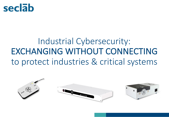

# Industrial Cybersecurity: EXCHANGING WITHOUT CONNECTING to protect industries & critical systems

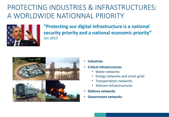## PROTECTING INDUSTRIES & INFRASTRUCTURES: A WORLDWIDE NATIONNAL PRIORITY



"Protecting our digital infrastructure is a national security priority and a national economic priority" *Jan 2015*



- **Industries**
- **Critical infrastructures**
	- Water networks
	- Energy networks and smart grids
	- Transportation networks
	- Telecom infrasctructures
- **Defense networks**
- **Government networks**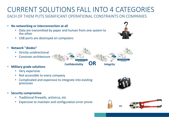## CURRENT SOLUTIONS FALL INTO 4 CATEGORIES

FACH OF THEM PUTS SIGNIFICANT OPFRATIONAL CONSTRAINTS ON COMPANIES

- No networking or interconnection at all
	- Data are transmitted by paper and human from one system to the other
	- USB ports are destroyed on computers
- **Network "diodes"**
	- Strictly unidirectional
	- Constrain architecture
- **Military grade solutions**
	- Very expensive
	- Not accessible to every company
	- Complicated and expensive to integrate into existing processes
- **Security compromise**
	- Traditional firewalls, antivirus, etc
	- Expensive to maintain and configuration error prone







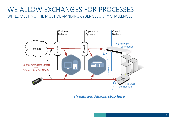### WE ALLOW EXCHANGES FOR PROCESSES WHILE MEETING THE MOST DEMANDING CYBER SECURITY CHALLENGES

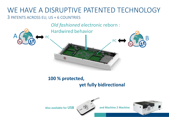### WE HAVE A DISRUPTIVE PATENTED TECHNOLOGY 3 PATENTS ACROSS EU, US + 6 COUNTRIES

*Old fashioned* electronic reborn :

Hardwired behavior



### **100 % protected, yet fully bidirectional**

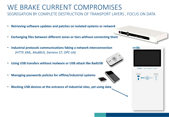- WE BRAKE CURRENT COMPROMISES SEGREGATION BY COMPLETE DESTRUCTION OF TRANSPORT LAYERS, FOCUS ON DATA
- Retrieving software updates and patches on isolated systems or network
- **Exchanging files between different zones or tiers without connecting them**
- **Industrial protocols communications faking a network interconnection** *(HTTP, XML, ModBUS, Siemens S7, OPC-UA)*
- **Using USB transfers without malware or USB attack like BadUSB**
- **Managing passwords policies for offline/industrial systems**





#### seclāb



**KARMA · USB Analyze & Transfer** 



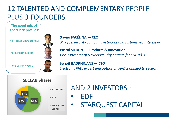## 12 TALENTED AND COMPLEMENTARY PEOPLE PLUS 3 FOUNDERS:

#### The good mix of **3 security profiles:**

The Hacker Entrepreneur

The Industry Expert

The **Electronic Guru** 



### **Xavier FACÉLINA — CEO** 3<sup>rd</sup> cybersecurity company, networks and systems security expert

**Pascal SITBON** — **Products & Innovation** *CISSP, inventor of 5 cybersecurity patents for EDF R&D* 

**Benoit BADRIGNANS — CTO** *Electronic PhD, expert and author on FPGAs applied to security* 



## AND 2 INVESTORS :

• EDF • STARQUEST CAPITAL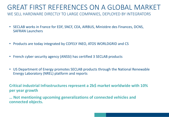### GREAT FIRST REFERENCES ON A GLOBAL MARKET WE SELL HARDWARE DIRECTLY TO LARGE COMPANIES, DEPLOYED BY INTEGRATORS

- SECLAB works in France for EDF, SNCF, CEA, AIRBUS, Ministère des Finances, DCNS, SAFRAN Launchers
- Products are today integrated by COFELY INEO, ATOS WORLDGRID and CS
- French cyber security agency (ANSSI) has certified 3 SECLAB products
- US Department of Energy promotes SECLAB products through the National Renewable Energy Laboratory (NREL) platform and reports

Critical industrial Infrastructures represent a 2b\$ market worldwide with 10% **per year growth** 

**…** Not mentioning upcoming generalizations of connected vehicles and **connected objects.**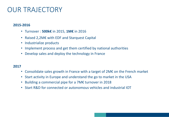### **OUR TRAJECTORY**

#### **2015-2016**

- Turnover : **500k€** in 2015, **1M€** in 2016
- Raised 2,2M€ with EDF and Starquest Capital
- Industrialize products
- Implement process and get them certified by national authorities
- Develop sales and deploy the technology in France

#### **2017**

- Consolidate sales growth in France with a target of  $2M\epsilon$  on the French market
- Start activity in Europe and understand the go to market in the USA
- Building a commercial pipe for a 7M€ turnover in 2018
- Start R&D for connected or autonomous vehicles and industrial IOT